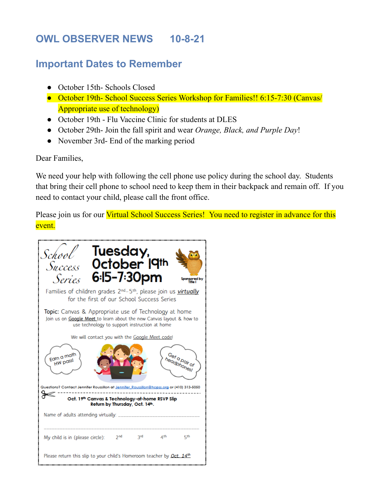# **OWL OBSERVER NEWS 10-8-21**

## **Important Dates to Remember**

- October 15th- Schools Closed
- October 19th- School Success Series Workshop for Families!! 6:15-7:30 (Canvas/ Appropriate use of technology)
- October 19th Flu Vaccine Clinic for students at DLES
- October 29th- Join the fall spirit and wear *Orange, Black, and Purple Day*!
- November 3rd- End of the marking period

Dear Families,

We need your help with following the cell phone use policy during the school day. Students that bring their cell phone to school need to keep them in their backpack and remain off. If you need to contact your child, please call the front office.

Please join us for our Virtual School Success Series! You need to register in advance for this event.

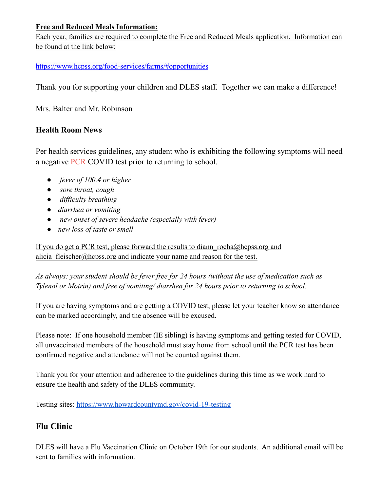### **Free and Reduced Meals Information:**

Each year, families are required to complete the Free and Reduced Meals application. Information can be found at the link below:

#### <https://www.hcpss.org/food-services/farms/#opportunities>

Thank you for supporting your children and DLES staff. Together we can make a difference!

Mrs. Balter and Mr. Robinson

### **Health Room News**

Per health services guidelines, any student who is exhibiting the following symptoms will need a negative PCR COVID test prior to returning to school.

- *fever of 100.4 or higher*
- *sore throat, cough*
- *difficulty breathing*
- *diarrhea or vomiting*
- *new onset of severe headache (especially with fever)*
- *new loss of taste or smell*

If you do get a PCR test, please forward the results to diann rocha@hcpss.org and alicia fleischer@hcpss.org and indicate your name and reason for the test.

*As always: your student should be fever free for 24 hours (without the use of medication such as Tylenol or Motrin) and free of vomiting/ diarrhea for 24 hours prior to returning to school.*

If you are having symptoms and are getting a COVID test, please let your teacher know so attendance can be marked accordingly, and the absence will be excused.

Please note: If one household member (IE sibling) is having symptoms and getting tested for COVID, all unvaccinated members of the household must stay home from school until the PCR test has been confirmed negative and attendance will not be counted against them.

Thank you for your attention and adherence to the guidelines during this time as we work hard to ensure the health and safety of the DLES community.

Testing sites: [https://www.howardcountymd.gov/covid-19-testing](https://nam10.safelinks.protection.outlook.com/?url=https%3A%2F%2Fwww.howardcountymd.gov%2Fcovid-19-testing&data=04%7C01%7CJulie_Forman%40hcpss.org%7Ccd85762728e24066045608d98295513f%7C96a9ac4c477e4dada2b28ad3fc46790b%7C1%7C0%7C637684400096259433%7CUnknown%7CTWFpbGZsb3d8eyJWIjoiMC4wLjAwMDAiLCJQIjoiV2luMzIiLCJBTiI6Ik1haWwiLCJXVCI6Mn0%3D%7C1000&sdata=IPg3kjHVEqMm7d9IWKiXydaUsEJbdL0gFiAQQR3lXO0%3D&reserved=0)

### **Flu Clinic**

DLES will have a Flu Vaccination Clinic on October 19th for our students. An additional email will be sent to families with information.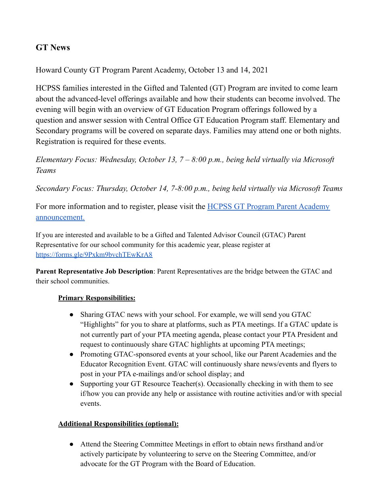### **GT News**

Howard County GT Program Parent Academy, October 13 and 14, 2021

HCPSS families interested in the Gifted and Talented (GT) Program are invited to come learn about the advanced-level offerings available and how their students can become involved. The evening will begin with an overview of GT Education Program offerings followed by a question and answer session with Central Office GT Education Program staff. Elementary and Secondary programs will be covered on separate days. Families may attend one or both nights. Registration is required for these events.

*Elementary Focus: Wednesday, October 13, 7 – 8:00 p.m., being held virtually via Microsoft Teams*

*Secondary Focus: Thursday, October 14, 7-8:00 p.m., being held virtually via Microsoft Teams*

For more information and to register, please visit the HCPSS GT Program Parent [Academy](https://news.hcpss.org/news-posts/2021/09/howard-county-g-t-program-parent-academy-octobter-13-and-14/) [announcement.](https://news.hcpss.org/news-posts/2021/09/howard-county-g-t-program-parent-academy-octobter-13-and-14/)

If you are interested and available to be a Gifted and Talented Advisor Council (GTAC) Parent Representative for our school community for this academic year, please register at <https://forms.gle/9Pxkm9bvchTEwKrA8>

**Parent Representative Job Description**: Parent Representatives are the bridge between the GTAC and their school communities.

#### **Primary Responsibilities:**

- Sharing GTAC news with your school. For example, we will send you GTAC "Highlights" for you to share at platforms, such as PTA meetings. If a GTAC update is not currently part of your PTA meeting agenda, please contact your PTA President and request to continuously share GTAC highlights at upcoming PTA meetings;
- Promoting GTAC-sponsored events at your school, like our Parent Academies and the Educator Recognition Event. GTAC will continuously share news/events and flyers to post in your PTA e-mailings and/or school display; and
- Supporting your GT Resource Teacher(s). Occasionally checking in with them to see if/how you can provide any help or assistance with routine activities and/or with special events.

#### **Additional Responsibilities (optional):**

● Attend the Steering Committee Meetings in effort to obtain news firsthand and/or actively participate by volunteering to serve on the Steering Committee, and/or advocate for the GT Program with the Board of Education.